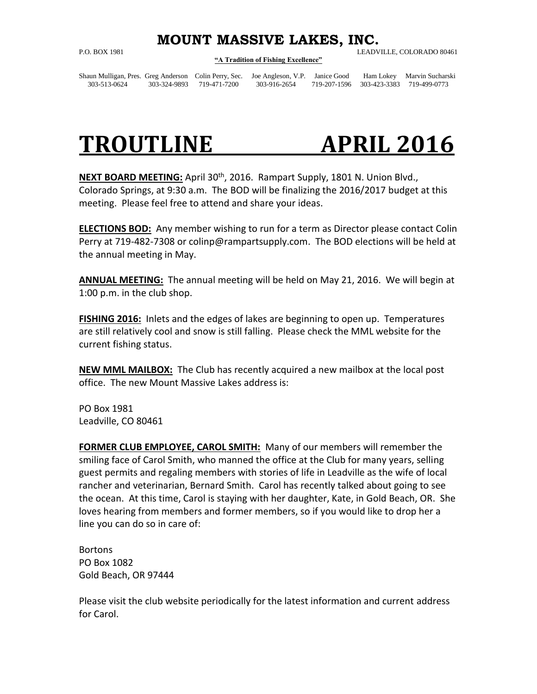## **MOUNT MASSIVE LAKES, INC.**

## **"A Tradition of Fishing Excellence"**

P.O. BOX 1981 LEADVILLE, COLORADO 80461

Shaun Mulligan, Pres. Greg Anderson Colin Perry, Sec. Joe Angleson, V.P. Janice Good Ham Lokey Marvin Sucharski 303-513-0624 303-324-9893 719-471-7200 303-916-2654 719-207-1596 303-423-3383 719-499-0773

## **TROUTLINE APRIL 2016**

**NEXT BOARD MEETING:** April 30th, 2016. Rampart Supply, 1801 N. Union Blvd., Colorado Springs, at 9:30 a.m. The BOD will be finalizing the 2016/2017 budget at this meeting. Please feel free to attend and share your ideas.

**ELECTIONS BOD:** Any member wishing to run for a term as Director please contact Colin Perry at 719-482-7308 or [colinp@rampartsupply.com.](mailto:colinp@rampartsupply.com) The BOD elections will be held at the annual meeting in May.

**ANNUAL MEETING:** The annual meeting will be held on May 21, 2016. We will begin at 1:00 p.m. in the club shop.

**FISHING 2016:** Inlets and the edges of lakes are beginning to open up. Temperatures are still relatively cool and snow is still falling. Please check the MML website for the current fishing status.

**NEW MML MAILBOX:** The Club has recently acquired a new mailbox at the local post office. The new Mount Massive Lakes address is:

PO Box 1981 Leadville, CO 80461

**FORMER CLUB EMPLOYEE, CAROL SMITH:** Many of our members will remember the smiling face of Carol Smith, who manned the office at the Club for many years, selling guest permits and regaling members with stories of life in Leadville as the wife of local rancher and veterinarian, Bernard Smith. Carol has recently talked about going to see the ocean. At this time, Carol is staying with her daughter, Kate, in Gold Beach, OR. She loves hearing from members and former members, so if you would like to drop her a line you can do so in care of:

Bortons PO Box 1082 Gold Beach, OR 97444

Please visit the club website periodically for the latest information and current address for Carol.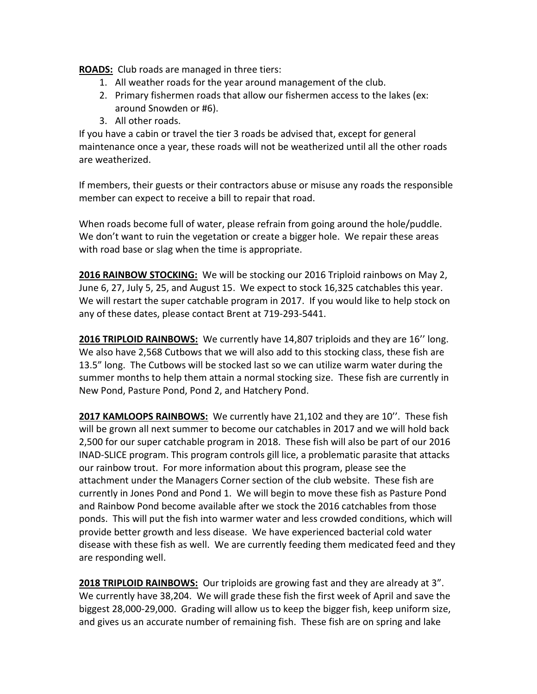**ROADS:** Club roads are managed in three tiers:

- 1. All weather roads for the year around management of the club.
- 2. Primary fishermen roads that allow our fishermen access to the lakes (ex: around Snowden or #6).
- 3. All other roads.

If you have a cabin or travel the tier 3 roads be advised that, except for general maintenance once a year, these roads will not be weatherized until all the other roads are weatherized.

If members, their guests or their contractors abuse or misuse any roads the responsible member can expect to receive a bill to repair that road.

When roads become full of water, please refrain from going around the hole/puddle. We don't want to ruin the vegetation or create a bigger hole. We repair these areas with road base or slag when the time is appropriate.

**2016 RAINBOW STOCKING:** We will be stocking our 2016 Triploid rainbows on May 2, June 6, 27, July 5, 25, and August 15. We expect to stock 16,325 catchables this year. We will restart the super catchable program in 2017. If you would like to help stock on any of these dates, please contact Brent at 719-293-5441.

**2016 TRIPLOID RAINBOWS:** We currently have 14,807 triploids and they are 16'' long. We also have 2,568 Cutbows that we will also add to this stocking class, these fish are 13.5" long. The Cutbows will be stocked last so we can utilize warm water during the summer months to help them attain a normal stocking size. These fish are currently in New Pond, Pasture Pond, Pond 2, and Hatchery Pond.

**2017 KAMLOOPS RAINBOWS:** We currently have 21,102 and they are 10''. These fish will be grown all next summer to become our catchables in 2017 and we will hold back 2,500 for our super catchable program in 2018. These fish will also be part of our 2016 INAD-SLICE program. This program controls gill lice, a problematic parasite that attacks our rainbow trout. For more information about this program, please see the attachment under the Managers Corner section of the club website. These fish are currently in Jones Pond and Pond 1. We will begin to move these fish as Pasture Pond and Rainbow Pond become available after we stock the 2016 catchables from those ponds. This will put the fish into warmer water and less crowded conditions, which will provide better growth and less disease. We have experienced bacterial cold water disease with these fish as well. We are currently feeding them medicated feed and they are responding well.

**2018 TRIPLOID RAINBOWS:** Our triploids are growing fast and they are already at 3". We currently have 38,204. We will grade these fish the first week of April and save the biggest 28,000-29,000. Grading will allow us to keep the bigger fish, keep uniform size, and gives us an accurate number of remaining fish. These fish are on spring and lake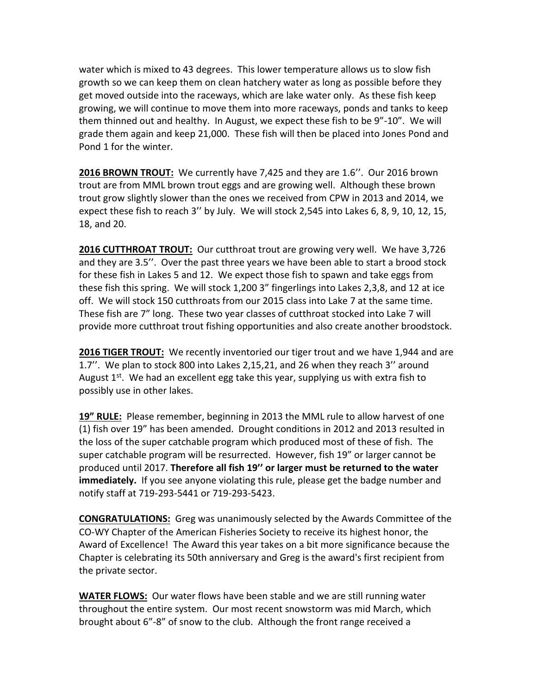water which is mixed to 43 degrees. This lower temperature allows us to slow fish growth so we can keep them on clean hatchery water as long as possible before they get moved outside into the raceways, which are lake water only. As these fish keep growing, we will continue to move them into more raceways, ponds and tanks to keep them thinned out and healthy. In August, we expect these fish to be 9"-10". We will grade them again and keep 21,000. These fish will then be placed into Jones Pond and Pond 1 for the winter.

**2016 BROWN TROUT:** We currently have 7,425 and they are 1.6''. Our 2016 brown trout are from MML brown trout eggs and are growing well. Although these brown trout grow slightly slower than the ones we received from CPW in 2013 and 2014, we expect these fish to reach 3'' by July. We will stock 2,545 into Lakes 6, 8, 9, 10, 12, 15, 18, and 20.

**2016 CUTTHROAT TROUT:** Our cutthroat trout are growing very well. We have 3,726 and they are 3.5''. Over the past three years we have been able to start a brood stock for these fish in Lakes 5 and 12. We expect those fish to spawn and take eggs from these fish this spring. We will stock 1,200 3" fingerlings into Lakes 2,3,8, and 12 at ice off. We will stock 150 cutthroats from our 2015 class into Lake 7 at the same time. These fish are 7" long. These two year classes of cutthroat stocked into Lake 7 will provide more cutthroat trout fishing opportunities and also create another broodstock.

**2016 TIGER TROUT:** We recently inventoried our tiger trout and we have 1,944 and are 1.7''. We plan to stock 800 into Lakes 2,15,21, and 26 when they reach 3'' around August  $1<sup>st</sup>$ . We had an excellent egg take this year, supplying us with extra fish to possibly use in other lakes.

**19" RULE:** Please remember, beginning in 2013 the MML rule to allow harvest of one (1) fish over 19" has been amended. Drought conditions in 2012 and 2013 resulted in the loss of the super catchable program which produced most of these of fish. The super catchable program will be resurrected. However, fish 19" or larger cannot be produced until 2017. **Therefore all fish 19'' or larger must be returned to the water immediately.** If you see anyone violating this rule, please get the badge number and notify staff at 719-293-5441 or 719-293-5423.

**CONGRATULATIONS:** Greg was unanimously selected by the Awards Committee of the CO-WY Chapter of the American Fisheries Society to receive its highest honor, the Award of Excellence! The Award this year takes on a bit more significance because the Chapter is celebrating its 50th anniversary and Greg is the award's first recipient from the private sector.

**WATER FLOWS:** Our water flows have been stable and we are still running water throughout the entire system. Our most recent snowstorm was mid March, which brought about 6"-8" of snow to the club. Although the front range received a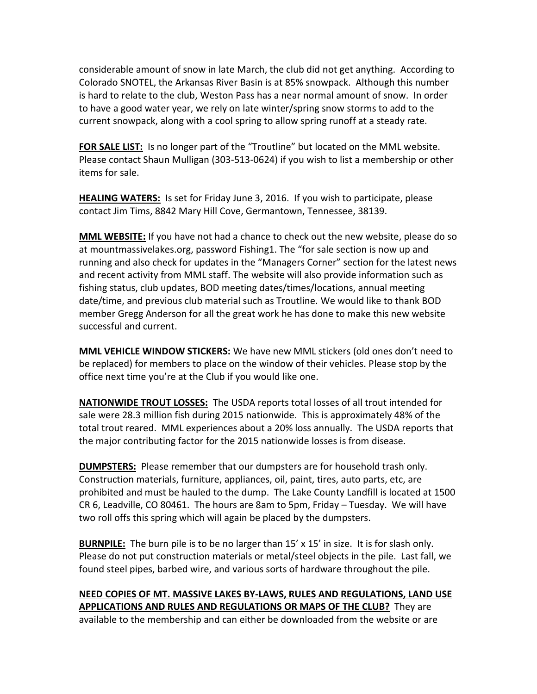considerable amount of snow in late March, the club did not get anything. According to Colorado SNOTEL, the Arkansas River Basin is at 85% snowpack. Although this number is hard to relate to the club, Weston Pass has a near normal amount of snow. In order to have a good water year, we rely on late winter/spring snow storms to add to the current snowpack, along with a cool spring to allow spring runoff at a steady rate.

FOR SALE LIST: Is no longer part of the "Troutline" but located on the MML website. Please contact Shaun Mulligan (303-513-0624) if you wish to list a membership or other items for sale.

**HEALING WATERS:** Is set for Friday June 3, 2016. If you wish to participate, please contact Jim Tims, 8842 Mary Hill Cove, Germantown, Tennessee, 38139.

**MML WEBSITE:** If you have not had a chance to check out the new website, please do so at mountmassivelakes.org, password Fishing1. The "for sale section is now up and running and also check for updates in the "Managers Corner" section for the latest news and recent activity from MML staff. The website will also provide information such as fishing status, club updates, BOD meeting dates/times/locations, annual meeting date/time, and previous club material such as Troutline. We would like to thank BOD member Gregg Anderson for all the great work he has done to make this new website successful and current.

**MML VEHICLE WINDOW STICKERS:** We have new MML stickers (old ones don't need to be replaced) for members to place on the window of their vehicles. Please stop by the office next time you're at the Club if you would like one.

**NATIONWIDE TROUT LOSSES:** The USDA reports total losses of all trout intended for sale were 28.3 million fish during 2015 nationwide. This is approximately 48% of the total trout reared. MML experiences about a 20% loss annually. The USDA reports that the major contributing factor for the 2015 nationwide losses is from disease.

**DUMPSTERS:** Please remember that our dumpsters are for household trash only. Construction materials, furniture, appliances, oil, paint, tires, auto parts, etc, are prohibited and must be hauled to the dump. The Lake County Landfill is located at 1500 CR 6, Leadville, CO 80461. The hours are 8am to 5pm, Friday – Tuesday. We will have two roll offs this spring which will again be placed by the dumpsters.

**BURNPILE:** The burn pile is to be no larger than 15' x 15' in size. It is for slash only. Please do not put construction materials or metal/steel objects in the pile. Last fall, we found steel pipes, barbed wire, and various sorts of hardware throughout the pile.

**NEED COPIES OF MT. MASSIVE LAKES BY-LAWS, RULES AND REGULATIONS, LAND USE APPLICATIONS AND RULES AND REGULATIONS OR MAPS OF THE CLUB?** They are available to the membership and can either be downloaded from the website or are